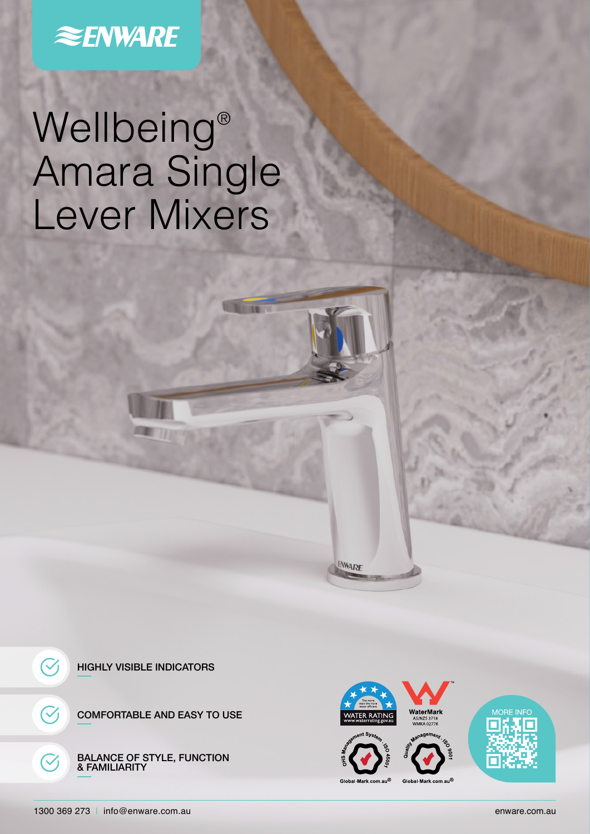# **ENWARE**

# Wellbeing® Amara Single Lever Mixers



COMFORTABLE AND EASY TO USE

BALANCE OF STYLE, FUNCTION & FAMILIARITY



ENWARE